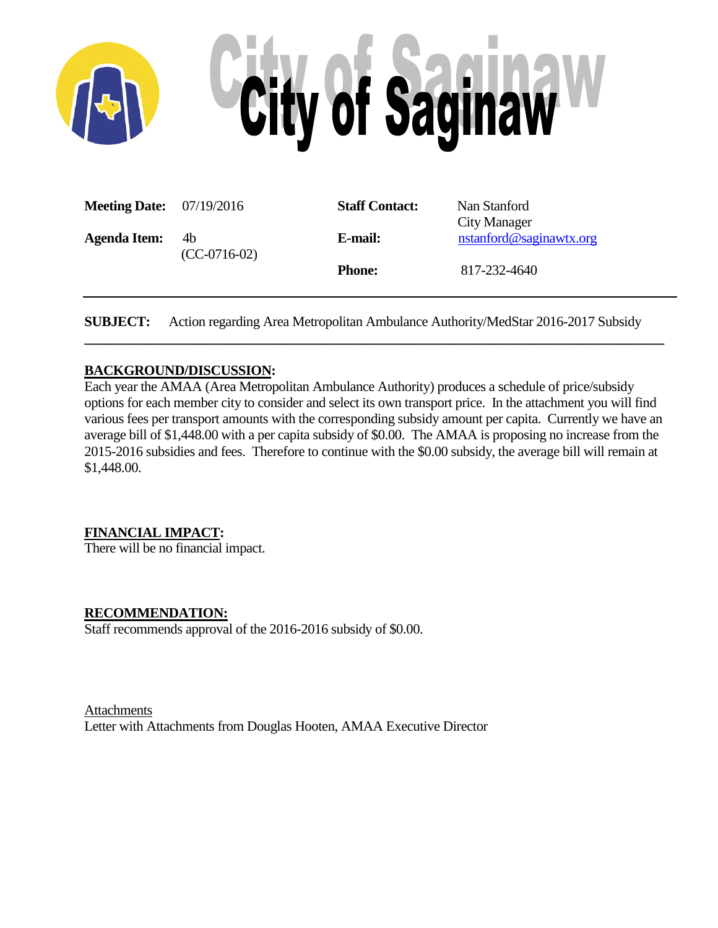

| <b>Meeting Date:</b> $07/19/2016$ |                | <b>Staff Contact:</b> | Nan Stanford            |  |  |  |
|-----------------------------------|----------------|-----------------------|-------------------------|--|--|--|
|                                   |                |                       | City Manager            |  |  |  |
| <b>Agenda Item:</b>               | 4b             | E-mail:               | nstanford@saginawtx.org |  |  |  |
|                                   | $(CC-0716-02)$ |                       |                         |  |  |  |
|                                   |                | <b>Phone:</b>         | 817-232-4640            |  |  |  |
|                                   |                |                       |                         |  |  |  |

**SUBJECT:** Action regarding Area Metropolitan Ambulance Authority/MedStar 2016-2017 Subsidy

**\_\_\_\_\_\_\_\_\_\_\_\_\_\_\_\_\_\_\_\_\_\_\_\_\_\_\_\_\_\_\_\_\_\_\_\_\_\_\_\_\_\_\_\_\_\_\_\_\_\_\_\_\_\_\_\_\_\_\_\_\_\_\_\_\_\_\_\_\_\_\_\_\_\_\_\_\_\_\_\_\_\_\_\_\_\_**

## **BACKGROUND/DISCUSSION:**

Each year the AMAA (Area Metropolitan Ambulance Authority) produces a schedule of price/subsidy options for each member city to consider and select its own transport price. In the attachment you will find various fees per transport amounts with the corresponding subsidy amount per capita. Currently we have an average bill of \$1,448.00 with a per capita subsidy of \$0.00. The AMAA is proposing no increase from the 2015-2016 subsidies and fees. Therefore to continue with the \$0.00 subsidy, the average bill will remain at \$1,448.00.

## **FINANCIAL IMPACT:**

There will be no financial impact.

## **RECOMMENDATION:**

Staff recommends approval of the 2016-2016 subsidy of \$0.00.

## Attachments

Letter with Attachments from Douglas Hooten, AMAA Executive Director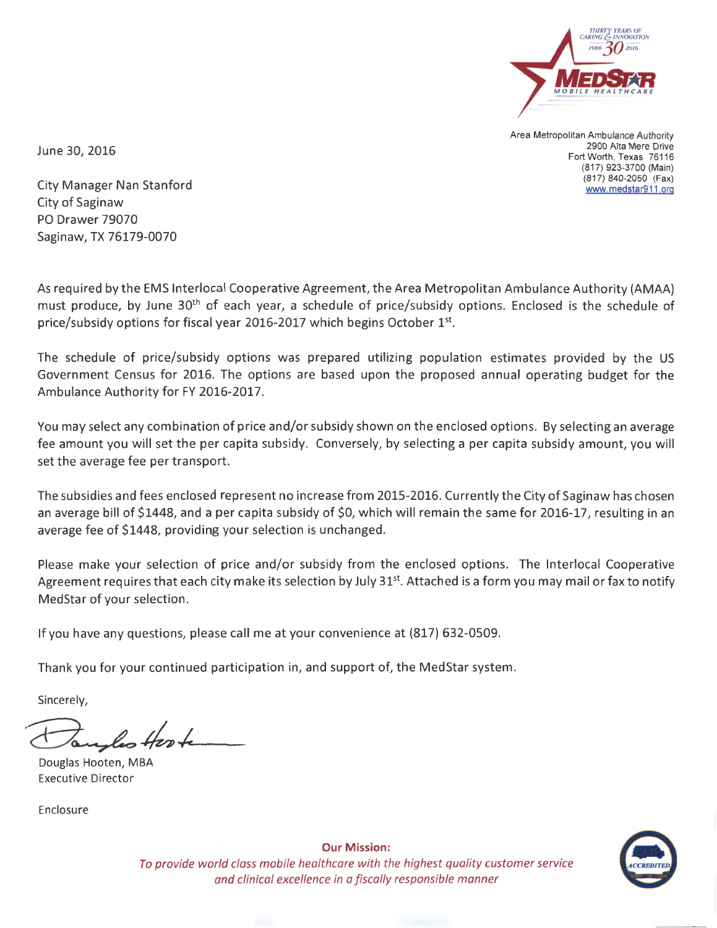

Area Metropolitan Ambulance Authority 2900 Alta Mere Drive Fort Worth, Texas 76116 (817) 923-3700 (Main) (817) 840-2050 (Fax) www.medstar911 .org

June 30, 2016

City Manager Nan Stanford City of Saginaw PO Drawer 79070 Saginaw, TX 76179-0070

As required by the EMS lnterlocal Cooperative Agreement, the Area Metropolitan Ambulance Authority (AMAA) must produce, by June 30<sup>th</sup> of each year, a schedule of price/subsidy options. Enclosed is the schedule of price/subsidy options for fiscal year 2016-2017 which begins October 1st.

The schedule of price/subsidy options was prepared utilizing population estimates provided by the US Government Census for 2016. The options are based upon the proposed annual operating budget for the Ambulance Authority for FY 2016-2017.

You may select any combination of price and/or subsidy shown on the enclosed options. By selecting an average fee amount you will set the per capita subsidy. Conversely, by selecting a per capita subsidy amount, you will set the average fee per transport.

The subsidies and fees enclosed represent no increase from 2015-2016. Currently the City of Saginaw has chosen an average bill of \$1448, and a per capita subsidy of \$0, which will remain the same for 2016-17, resulting in an average fee of \$1448, providing your selection is unchanged.

Please make your selection of price and/or subsidy from the enclosed options. The lnterlocal Cooperative Agreement requires that each city make its selection by July 31<sup>st</sup>. Attached is a form you may mail or fax to notify MedStar of your selection.

If you have any questions, please call me at your convenience at (817) 632-0509.

Thank you for your continued participation in, and support of, the MedStar system.

Sincerely,

Douglas Hooten, MBA Executive Director

Enclosure



Our Mission: To provide world class mobile healthcare with the highest quality customer service and clinical excellence in a fiscally responsible manner